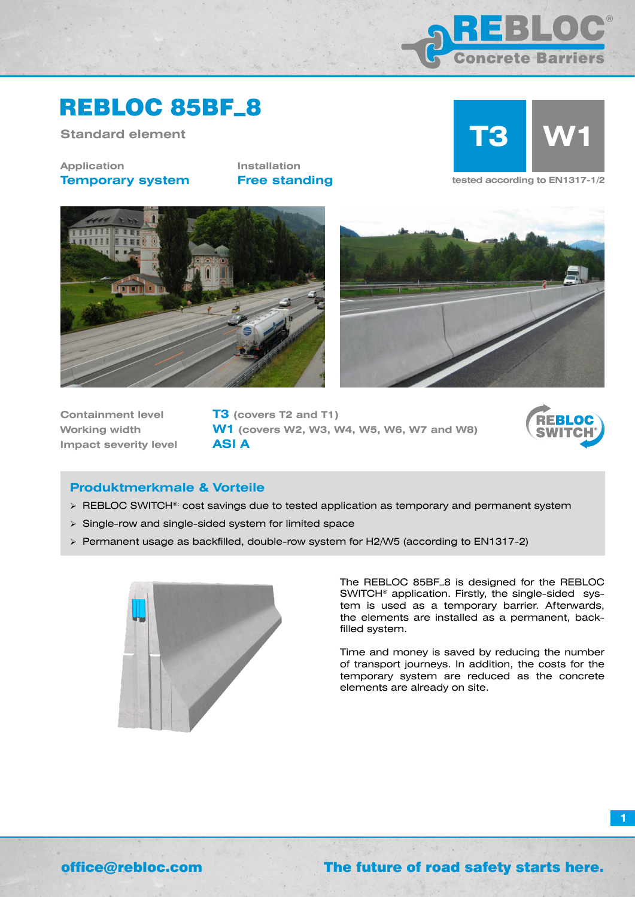

## REBLOC 85BF\_8

**Standard element**

### **Application Temporary system**

**Installation**



**Free standing tested according to EN1317-1/2** 





**Containment level T3 (covers T2 and T1) Impact severity level ASI A**

**Working width W1 (covers W2, W3, W4, W5, W6, W7 and W8)**



**1**

### **Produktmerkmale & Vorteile**

- > REBLOC SWITCH®: cost savings due to tested application as temporary and permanent system
- Single-row and single-sided system for limited space
- Permanent usage as backfilled, double-row system for H2/W5 (according to EN1317-2)



The REBLOC 85BF\_8 is designed for the REBLOC SWITCH® application. Firstly, the single-sided system is used as a temporary barrier. Afterwards, the elements are installed as a permanent, backfilled system.

Time and money is saved by reducing the number of transport journeys. In addition, the costs for the temporary system are reduced as the concrete elements are already on site.